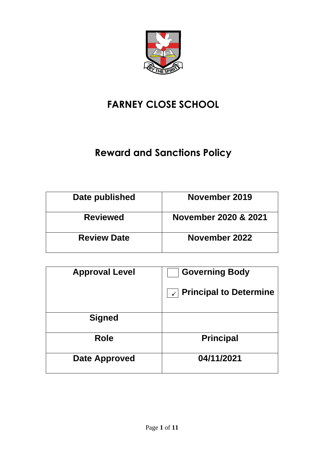

# **FARNEY CLOSE SCHOOL**

# **Reward and Sanctions Policy**

| Date published     | November 2019        |
|--------------------|----------------------|
| <b>Reviewed</b>    | November 2020 & 2021 |
| <b>Review Date</b> | November 2022        |

| <b>Approval Level</b> | <b>Governing Body</b>                         |
|-----------------------|-----------------------------------------------|
|                       | <b>Principal to Determine</b><br>$\checkmark$ |
|                       |                                               |
| <b>Signed</b>         |                                               |
| <b>Role</b>           | <b>Principal</b>                              |
| Date Approved         | 04/11/2021                                    |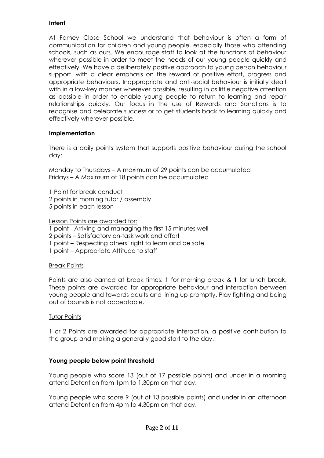# **Intent**

At Farney Close School we understand that behaviour is often a form of communication for children and young people, especially those who attending schools, such as ours. We encourage staff to look at the functions of behaviour wherever possible in order to meet the needs of our young people quickly and effectively. We have a deliberately positive approach to young person behaviour support. with a clear emphasis on the reward of positive effort, progress and appropriate behaviours. Inappropriate and anti-social behaviour is initially dealt with in a low-key manner wherever possible, resulting in as little negative attention as possible in order to enable young people to return to learning and repair relationships quickly. Our focus in the use of Rewards and Sanctions is to recognise and celebrate success or to get students back to learning quickly and effectively wherever possible.

# **Implementation**

There is a daily points system that supports positive behaviour during the school day:

Monday to Thursdays – A maximum of 29 points can be accumulated Fridays – A Maximum of 18 points can be accumulated

1 Point for break conduct 2 points in morning tutor / assembly 5 points in each lesson

Lesson Points are awarded for:

- 1 point Arriving and managing the first 15 minutes well
- 2 points Satisfactory on-task work and effort
- 1 point Respecting others' right to learn and be safe
- 1 point Appropriate Attitude to staff

# Break Points

Points are also earned at break times: **1** for morning break & **1** for lunch break. These points are awarded for appropriate behaviour and interaction between young people and towards adults and lining up promptly. Play fighting and being out of bounds is not acceptable.

# **Tutor Points**

1 or 2 Points are awarded for appropriate interaction, a positive contribution to the group and making a generally good start to the day.

# **Young people below point threshold**

Young people who score 13 (out of 17 possible points) and under in a morning attend Detention from 1pm to 1.30pm on that day.

Young people who score 9 (out of 13 possible points) and under in an afternoon attend Detention from 4pm to 4.30pm on that day.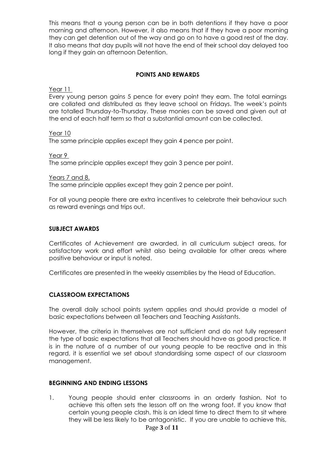This means that a young person can be in both detentions if they have a poor morning and afternoon. However, it also means that if they have a poor morning they can get detention out of the way and go on to have a good rest of the day. It also means that day pupils will not have the end of their school day delayed too long if they gain an afternoon Detention.

# **POINTS AND REWARDS**

Year 11

Every young person gains 5 pence for every point they earn. The total earnings are collated and distributed as they leave school on Fridays. The week's points are totalled Thursday-to-Thursday. These monies can be saved and given out at the end of each half term so that a substantial amount can be collected.

#### Year 10

The same principle applies except they gain 4 pence per point.

Year 9

The same principle applies except they gain 3 pence per point.

Years 7 and 8.

The same principle applies except they gain 2 pence per point.

For all young people there are extra incentives to celebrate their behaviour such as reward evenings and trips out.

#### **SUBJECT AWARDS**

Certificates of Achievement are awarded, in all curriculum subject areas, for satisfactory work and effort whilst also being available for other areas where positive behaviour or input is noted.

Certificates are presented in the weekly assemblies by the Head of Education.

# **CLASSROOM EXPECTATIONS**

The overall daily school points system applies and should provide a model of basic expectations between all Teachers and Teaching Assistants.

However, the criteria in themselves are not sufficient and do not fully represent the type of basic expectations that all Teachers should have as good practice. It is in the nature of a number of our young people to be reactive and in this regard, it is essential we set about standardising some aspect of our classroom management.

# **BEGINNING AND ENDING LESSONS**

1. Young people should enter classrooms in an orderly fashion. Not to achieve this often sets the lesson off on the wrong foot. If you know that certain young people clash, this is an ideal time to direct them to sit where they will be less likely to be antagonistic. If you are unable to achieve this,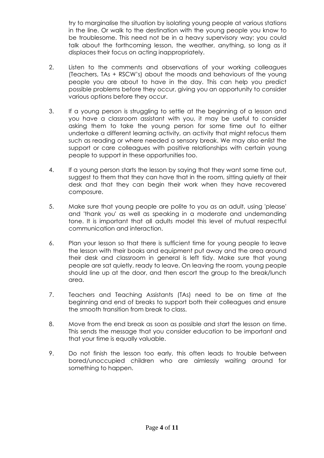try to marginalise the situation by isolating young people at various stations in the line. Or walk to the destination with the young people you know to be troublesome. This need not be in a heavy supervisory way; you could talk about the forthcoming lesson, the weather, anything, so long as it displaces their focus on acting inappropriately.

- 2. Listen to the comments and observations of your working colleagues (Teachers, TAs + RSCW's) about the moods and behaviours of the young people you are about to have in the day. This can help you predict possible problems before they occur, giving you an opportunity to consider various options before they occur.
- 3. If a young person is struggling to settle at the beginning of a lesson and you have a classroom assistant with you, it may be useful to consider asking them to take the young person for some time out to either undertake a different learning activity, an activity that might refocus them such as reading or where needed a sensory break. We may also enlist the support or care colleagues with positive relationships with certain young people to support in these opportunities too.
- 4. If a young person starts the lesson by saying that they want some time out, suggest to them that they can have that in the room, sitting quietly at their desk and that they can begin their work when they have recovered composure.
- 5. Make sure that young people are polite to you as an adult, using 'please' and 'thank you' as well as speaking in a moderate and undemanding tone. It is important that all adults model this level of mutual respectful communication and interaction.
- 6. Plan your lesson so that there is sufficient time for young people to leave the lesson with their books and equipment put away and the area around their desk and classroom in general is left tidy. Make sure that young people are sat quietly, ready to leave. On leaving the room, young people should line up at the door, and then escort the group to the break/lunch area.
- 7. Teachers and Teaching Assistants (TAs) need to be on time at the beginning and end of breaks to support both their colleagues and ensure the smooth transition from break to class.
- 8. Move from the end break as soon as possible and start the lesson on time. This sends the message that you consider education to be important and that your time is equally valuable.
- 9. Do not finish the lesson too early, this often leads to trouble between bored/unoccupied children who are aimlessly waiting around for something to happen.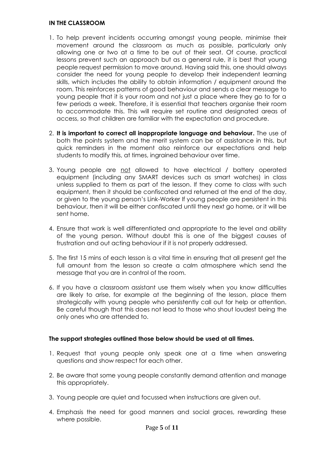#### **IN THE CLASSROOM**

- 1. To help prevent incidents occurring amongst young people, minimise their movement around the classroom as much as possible, particularly only allowing one or two at a time to be out of their seat. Of course, practical lessons prevent such an approach but as a general rule, it is best that young people request permission to move around. Having said this, one should always consider the need for young people to develop their independent learning skills, which includes the ability to obtain information / equipment around the room. This reinforces patterns of good behaviour and sends a clear message to young people that it is your room and not just a place where they go to for a few periods a week. Therefore, it is essential that teachers organise their room to accommodate this. This will require set routine and designated areas of access, so that children are familiar with the expectation and procedure.
- 2. **It is important to correct all inappropriate language and behaviour.** The use of both the points system and the merit system can be of assistance in this, but quick reminders in the moment also reinforce our expectations and help students to modify this, at times, ingrained behaviour over time.
- 3. Young people are not allowed to have electrical / battery operated equipment (including any SMART devices such as smart watches) in class unless supplied to them as part of the lesson. If they come to class with such equipment, then it should be confiscated and returned at the end of the day, or given to the young person's Link-Worker If young people are persistent in this behaviour, then it will be either confiscated until they next go home, or it will be sent home.
- 4. Ensure that work is well differentiated and appropriate to the level and ability of the young person. Without doubt this is one of the biggest causes of frustration and out acting behaviour if it is not properly addressed.
- 5. The first 15 mins of each lesson is a vital time in ensuring that all present get the full amount from the lesson so create a calm atmosphere which send the message that you are in control of the room.
- 6. If you have a classroom assistant use them wisely when you know difficulties are likely to arise, for example at the beginning of the lesson, place them strategically with young people who persistently call out for help or attention. Be careful though that this does not lead to those who shout loudest being the only ones who are attended to.

# **The support strategies outlined those below should be used at all times.**

- 1. Request that young people only speak one at a time when answering questions and show respect for each other.
- 2. Be aware that some young people constantly demand attention and manage this appropriately.
- 3. Young people are quiet and focussed when instructions are given out.
- 4. Emphasis the need for good manners and social graces, rewarding these where possible.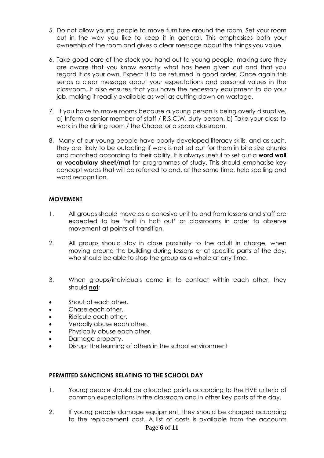- 5. Do not allow young people to move furniture around the room. Set your room out in the way you like to keep it in general. This emphasises both your ownership of the room and gives a clear message about the things you value.
- 6. Take good care of the stock you hand out to young people, making sure they are aware that you know exactly what has been given out and that you regard it as your own. Expect it to be returned in good order. Once again this sends a clear message about your expectations and personal values in the classroom. It also ensures that you have the necessary equipment to do your job, making it readily available as well as cutting down on wastage.
- 7. If you have to move rooms because a young person is being overly disruptive, a) Inform a senior member of staff / R.S.C.W. duty person. b) Take your class to work in the dining room / the Chapel or a spare classroom.
- 8. Many of our young people have poorly developed literacy skills, and as such, they are likely to be outacting if work is net set out for them in bite size chunks and matched according to their ability. It is always useful to set out a **word wall or vocabulary sheet/mat** for programmes of study. This should emphasise key concept words that will be referred to and, at the same time, help spelling and word recognition.

# **MOVEMENT**

- 1. All groups should move as a cohesive unit to and from lessons and staff are expected to be 'half in half out' or classrooms in order to observe movement at points of transition.
- 2. All groups should stay in close proximity to the adult in charge, when moving around the building during lessons or at specific parts of the day, who should be able to stop the group as a whole at any time.
- 3. When groups/individuals come in to contact within each other, they should **not**;
- Shout at each other.
- Chase each other.
- Ridicule each other.
- Verbally abuse each other.
- Physically abuse each other.
- Damage property.
- Disrupt the learning of others in the school environment

# **PERMITTED SANCTIONS RELATING TO THE SCHOOL DAY**

- 1. Young people should be allocated points according to the FIVE criteria of common expectations in the classroom and in other key parts of the day.
- 2. If young people damage equipment, they should be charged according to the replacement cost. A list of costs is available from the accounts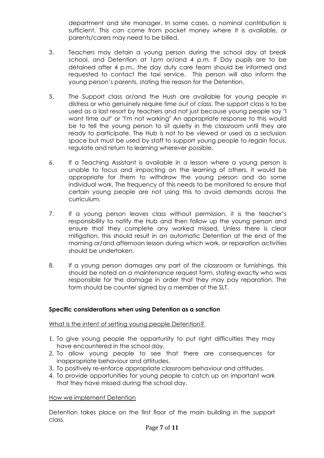department and site manager. In some cases, a nominal contribution is sufficient. This can come from pocket money where it is available, or parents/carers may need to be billed.

- 3. Teachers may detain a young person during the school day at break school, and Detention at 1pm or/and 4 p.m. If Day pupils are to be detained after 4 p.m., the day duty care team should be informed and requested to contact the taxi service. This person will also inform the young person's parents, stating the reason for the Detention.
- 5. The Support class or/and the Hush are available for young people in distress or who genuinely require time out of class. The support class is to be used as a last resort by teachers and not just because young people say "I want time out" or "I'm not working" An appropriate response to this would be to tell the young person to sit quietly in the classroom until they are ready to participate. The Hub is not to be viewed or used as a seclusion space but must be used by staff to support young people to regain focus, regulate and return to learning wherever possible.
- 6. If a Teaching Assistant is available in a lesson where a young person is unable to focus and impacting on the learning of others, it would be appropriate for them to withdraw the young person and do some individual work. The frequency of this needs to be monitored to ensure that certain young people are not using this to avoid demands across the curriculum.
- 7. If a young person leaves class without permission, it is the teacher's responsibility to notify the Hub and then follow up the young person and ensure that they complete any worked missed. Unless there is clear mitigation, this should result in an automatic Detention at the end of the morning or/and afternoon lesson during which work, or reparation activities should be undertaken.
- 8. If a young person damages any part of the classroom or furnishings, this should be noted on a maintenance request form, stating exactly who was responsible for the damage in order that they may pay reparation. The form should be counter signed by a member of the SLT.

# **Specific considerations when using Detention as a sanction**

What is the intent of setting young people Detention?

- 1. To give young people the opportunity to put right difficulties they may have encountered in the school day.
- 2. To allow young people to see that there are consequences for inappropriate behaviour and attitudes.
- 3. To positively re-enforce appropriate classroom behaviour and attitudes.
- 4. To provide opportunities for young people to catch up on important work that they have missed during the school day.

#### How we implement Detention

Detention takes place on the first floor of the main building in the support class.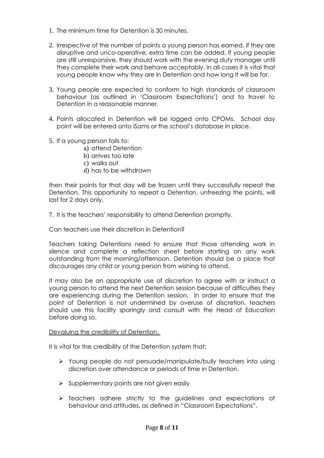- 1. The minimum time for Detention is 30 minutes.
- 2. Irrespective of the number of points a young person has earned, if they are disruptive and unco-operative, extra time can be added. If young people are still unresponsive, they should work with the evening duty manager until they complete their work and behave acceptably. In all cases it is vital that young people know why they are in Detention and how long it will be for.
- 3. Young people are expected to conform to high standards of classroom behaviour (as outlined in 'Classroom Expectations') and to travel to Detention in a reasonable manner.
- 4. Points allocated in Detention will be logged onto CPOMs. School day point will be entered onto iSams or the school's database in place.
- 5. If a young person fails to:
	- a) attend Detention
	- b) arrives too late
	- c) walks out
	- d) has to be withdrawn

then their points for that day will be frozen until they successfully repeat the Detention. This opportunity to repeat a Detention, unfreezing the points, will last for 2 days only.

7. It is the teachers' responsibility to attend Detention promptly.

Can teachers use their discretion in Detention?

Teachers taking Detentions need to ensure that those attending work in silence and complete a reflection sheet before starting on any work outstanding from the morning/afternoon. Detention should be a place that discourages any child or young person from wishing to attend.

It may also be an appropriate use of discretion to agree with or instruct a young person to attend the next Detention session because of difficulties they are experiencing during the Detention session. In order to ensure that the point of Detention is not undermined by overuse of discretion, teachers should use this facility sparingly and consult with the Head of Education before doing so.

# Devaluing the credibility of Detention.

It is vital for the credibility of the Detention system that:

- ➢ Young people do not persuade/manipulate/bully teachers into using discretion over attendance or periods of time in Detention.
- $\triangleright$  Supplementary points are not given easily
- ➢ Teachers adhere strictly to the guidelines and expectations of behaviour and attitudes, as defined in "Classroom Expectations".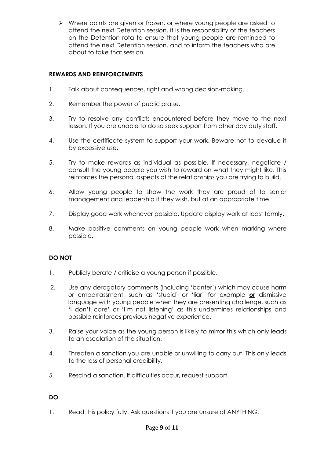➢ Where points are given or frozen, or where young people are asked to attend the next Detention session, it is the responsibility of the teachers on the Detention rota to ensure that young people are reminded to attend the next Detention session, and to inform the teachers who are about to take that session.

# **REWARDS AND REINFORCEMENTS**

- 1. Talk about consequences, right and wrong decision-making.
- 2. Remember the power of public praise.
- 3. Try to resolve any conflicts encountered before they move to the next lesson. If you are unable to do so seek support from other day duty staff.
- 4. Use the certificate system to support your work. Beware not to devalue it by excessive use.
- 5. Try to make rewards as individual as possible. If necessary, negotiate / consult the young people you wish to reward on what they might like. This reinforces the personal aspects of the relationships you are trying to build.
- 6. Allow young people to show the work they are proud of to senior management and leadership if they wish, but at an appropriate time.
- 7. Display good work whenever possible. Update display work at least termly.
- 8. Make positive comments on young people work when marking where possible.

# **DO NOT**

- 1. Publicly berate / criticise a young person if possible.
- 2. Use any derogatory comments (including 'banter') which may cause harm or embarrassment, such as 'stupid' or 'liar' for example **or** dismissive language with young people when they are presenting challenge, such as 'I don't care' or 'I'm not listening' as this undermines relationships and possible reinforces previous negative experience.
- 3. Raise your voice as the young person is likely to mirror this which only leads to an escalation of the situation.
- 4. Threaten a sanction you are unable or unwilling to carry out. This only leads to the loss of personal credibility.
- 5. Rescind a sanction. If difficulties occur, request support.

# **DO**

1. Read this policy fully. Ask questions if you are unsure of ANYTHING.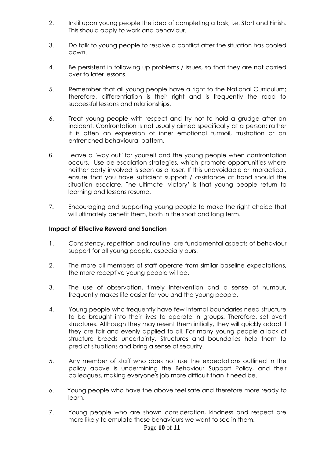- 2. Instil upon young people the idea of completing a task, i.e. Start and Finish. This should apply to work and behaviour.
- 3. Do talk to young people to resolve a conflict after the situation has cooled down.
- 4. Be persistent in following up problems / issues, so that they are not carried over to later lessons.
- 5. Remember that all young people have a right to the National Curriculum; therefore, differentiation is their right and is frequently the road to successful lessons and relationships.
- 6. Treat young people with respect and try not to hold a grudge after an incident. Confrontation is not usually aimed specifically at a person; rather it is often an expression of inner emotional turmoil, frustration or an entrenched behavioural pattern.
- 6. Leave a "way out" for yourself and the young people when confrontation occurs. Use de-escalation strategies, which promote opportunities where neither party involved is seen as a loser. If this unavoidable or impractical, ensure that you have sufficient support / assistance at hand should the situation escalate. The ultimate 'victory' is that young people return to learning and lessons resume.
- 7. Encouraging and supporting young people to make the right choice that will ultimately benefit them, both in the short and long term.

# **Impact of Effective Reward and Sanction**

- 1. Consistency, repetition and routine, are fundamental aspects of behaviour support for all young people, especially ours.
- 2. The more all members of staff operate from similar baseline expectations, the more receptive young people will be.
- 3. The use of observation, timely intervention and a sense of humour, frequently makes life easier for you and the young people.
- 4. Young people who frequently have few internal boundaries need structure to be brought into their lives to operate in groups. Therefore, set overt structures. Although they may resent them initially, they will quickly adapt if they are fair and evenly applied to all. For many young people a lack of structure breeds uncertainty. Structures and boundaries help them to predict situations and bring a sense of security.
- 5. Any member of staff who does not use the expectations outlined in the policy above is undermining the Behaviour Support Policy, and their colleagues, making everyone's job more difficult than it need be.
- 6. Young people who have the above feel safe and therefore more ready to learn.
- 7. Young people who are shown consideration, kindness and respect are more likely to emulate these behaviours we want to see in them.